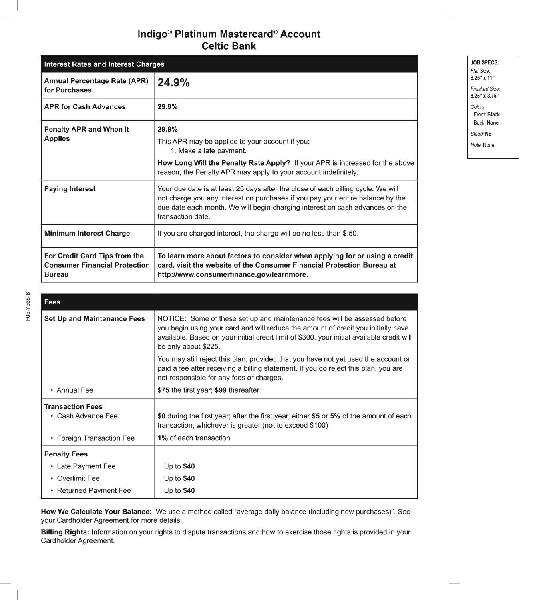# Indigo<sup>®</sup> Platinum Mastercard<sup>®</sup> Account **Celtic Bank**

| <b>Interest Rates and Interest Charges</b>                                             |                                                                                                                                                                                                                                                                         |
|----------------------------------------------------------------------------------------|-------------------------------------------------------------------------------------------------------------------------------------------------------------------------------------------------------------------------------------------------------------------------|
| <b>Annual Percentage Rate (APR)</b><br>for Purchases                                   | 24.9%                                                                                                                                                                                                                                                                   |
| <b>APR for Cash Advances</b>                                                           | 29.9%                                                                                                                                                                                                                                                                   |
| <b>Penalty APR and When It</b><br><b>Applies</b>                                       | 29.9%<br>This APR may be applied to your account if you:<br>1. Make a late payment.<br>How Long Will the Penalty Rate Apply? If your APR is increased for the above<br>reason, the Penalty APR may apply to your account indefinitely.                                  |
| <b>Paying Interest</b>                                                                 | Your due date is at least 25 days after the close of each billing cycle. We will<br>not charge you any interest on purchases if you pay your entire balance by the<br>due date each month. We will begin charging interest on cash advances on the<br>transaction date. |
| <b>Minimum Interest Charge</b>                                                         | If you are charged interest, the charge will be no less than \$.50.                                                                                                                                                                                                     |
| For Credit Card Tips from the<br><b>Consumer Financial Protection</b><br><b>Bureau</b> | To learn more about factors to consider when applying for or using a credit<br>card, visit the website of the Consumer Financial Protection Bureau at<br>http://www.consumerfinance.gov/learnmore.                                                                      |

| Fees                               |                                                                                                                                                                                                                                                                                      |
|------------------------------------|--------------------------------------------------------------------------------------------------------------------------------------------------------------------------------------------------------------------------------------------------------------------------------------|
| <b>Set Up and Maintenance Fees</b> | NOTICE: Some of these set up and maintenance fees will be assessed before<br>you begin using your card and will reduce the amount of credit you initially have<br>available. Based on your initial credit limit of \$300, your initial available credit will<br>be only about \$225. |
|                                    | You may still reject this plan, provided that you have not yet used the account or<br>paid a fee after receiving a billing statement. If you do reject this plan, you are<br>not responsible for any fees or charges.                                                                |
| • Annual Fee                       | \$75 the first year; \$99 thereafter                                                                                                                                                                                                                                                 |
| <b>Transaction Fees</b>            |                                                                                                                                                                                                                                                                                      |
| • Cash Advance Fee                 | \$0 during the first year; after the first year, either \$5 or 5% of the amount of each<br>transaction, whichever is greater (not to exceed \$100)                                                                                                                                   |
| • Foreign Transaction Fee          | 1% of each transaction                                                                                                                                                                                                                                                               |
| <b>Penalty Fees</b>                |                                                                                                                                                                                                                                                                                      |
| • Late Payment Fee                 | Up to $$40$                                                                                                                                                                                                                                                                          |
| • Overlimit Fee                    | Up to $$40$                                                                                                                                                                                                                                                                          |
| • Returned Payment Fee             | Up to $$40$                                                                                                                                                                                                                                                                          |

How We Calculate Your Balance: We use a method called "average daily balance (including new purchases)". See your Cardholder Agreement for more details.

Billing Rights: Information on your rights to dispute transactions and how to exercise those rights is provided in your Cardholder Agreement.

**JOB SPECS:** Flat Size: 8.25" x 11" Finished Size: 8.25" x 3.75" Colors: Front: Black Back: None Bleed: No Note: None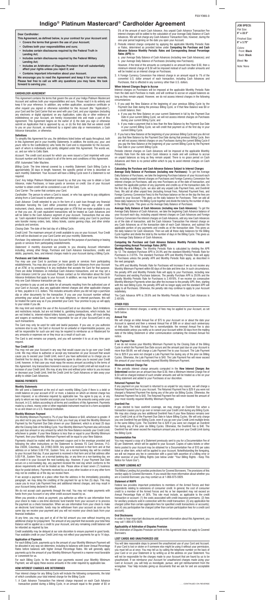**JOB SPECS:** *Flat Size:* **8" x 22.5"**

*Finished Size:* **8" x 3.75"**

*Colors:* Front: **Black** Back: **Black**

*Bleed:* **No** *Note:* None

# **CARDHOLDER AGREEMENT**

This Agreement contains the terms that govern the use of your Indigo Platinum Mastercard Account and outlines both your responsibilities and ours. Please read it in its entirety and keep it for your reference. In addition, any written application, acceptance certificate or other request you signed or otherwise submitted for this Account (the "Application"), your Card and the Card Carrier that we send with your Card, and your signature (including any electronic or digital signature) on any Application, sales slip or other evidence of indebtedness on your Account, are hereby incorporated into and made a part of this Agreement. This Agreement begins on the earlier of (i) the date you sign or otherwise submit an Application that is approved by us, or (ii) the first date that we extend credit to you on your Account, as evidenced by a signed sales slip or memorandum, a Cash Advance transaction, or otherwise.

#### **Definitions**

To simplify this Agreement for you, the definitions listed below will apply throughout, both in this Agreement and in your monthly Statements. In addition, the words *you*, *your*, and *yours* refer to the Cardholder(s) who holds the Card and is responsible for the Account, each of whom is individually and jointly obligated under this Agreement. The words *we*, *us*, and *our* refer to Celtic Bank.

*Account*: The credit card account for which you were issued a Card imprinted with your Account number and that is subject to all of the terms and conditions of this Agreement. *ATM*: Automated Teller Machine.

*Billing Cycle*: The time interval covered by a monthly Statement. Each Billing Cycle is approximately 30 days in length; however, the specific period of time is described on each monthly Statement. Your Account will have a Billing Cycle even if a Statement is not required.

*Card*: Any Indigo Platinum Mastercard issued by us that you may use to obtain a Cash Advance, make Purchases, or lease goods or services on credit. Use of your Account number to obtain credit will be considered a use of the Card.

*Card Carrier*: The carrier that contains your Card.

*Cardholder*: The person to whom a Card is issued, or who has agreed to pay obligations arising from a Card issued to another person.

*Cash Advance*: Credit extended to you in the form of a cash loan through any financial institution honoring the Card either presented directly or through any other credit instrument, check, device, overdraft coverage plan or ATM that we make available to you or that you use. All cash equivalent transactions will be treated as Cash Advances and will be billed to the Cash Advance segment of your Account. Transactions that we view as "cash equivalent transactions" include without limitation using your Card to purchase wire transfer money orders, bets, lottery tickets, casino gaming chips, and other similar products and services.

*Closing Date*: The date of the last day of a Billing Cycle.

*Credit Limit*: The maximum amount of credit available to you on your Account. Your Credit

Limit will be disclosed on your Card Carrier and your monthly Statements. *Purchase:* Any extension of credit to your Account for the purpose of purchasing or leasing

goods or services from participating establishments. *Statement*: A monthly document we provide to you showing Account information

including, among other things, Purchase and Cash Advance transactions, credits and debits, payments, fees, and interest charges made to your Account during a Billing Cycle.

# **Purchases and Cash Advances**

You may use your Card to purchase or lease goods or services from participating establishments. You may also use your Card to obtain Cash Advances from your Account at an ATM, or by presenting it to any institution that accepts the Card for that purpose. There are dollar limitations on individual Cash Advance transactions, and we may set a Cash Advance Limit for your Account. Please contact us for information about the Cash Advance limitations that apply to your Account. In addition, we may limit your Account to only one Cash Advance transaction per day.

You promise to pay us and are liable for all amounts resulting from the authorized use of your Card or Account, plus any applicable interest charges and other applicable charges or fees, payable in U.S. dollars. This includes amounts where you did not sign a purchase slip or other documents for the transaction. If you use your Account number without presenting your actual Card, such as for mail, telephone, or internet purchases, this will be treated the same way as if you presented your Card. Your promise to pay us will apply to your estate if you die.

We may limit and restrict the use of the Account/Card at our discretion. Such limitations and restrictions include, but are not limited to, gambling transactions, which include, but are not limited to, internet-related lottery tickets, casino gambling chips, off-track betting and wagers at racetracks. You remain responsible for use of your Account/Card in any such transactions.

The Card may only be used for valid and lawful purposes. If you use, or you authorize someone else to use, the Card or Account for an unlawful or impermissible purpose, you will be responsible for such use and may be required to reimburse us or Mastercard for any amounts or expenses we or they incur as a result of such use.

The Card is and remains our property, and you will surrender it to us at any time upon request.

# **Your Credit Limit**

You may not use your Account in any way that would cause you to go over your Credit Limit. We may refuse to authorize or accept any transaction on your Account that would cause you to exceed your Credit Limit, even if you have authorized us to charge you an Overlimit Fee for doing so. We may temporarily agree to allow you to exceed your Credit Limit; however, in that case you must repay the excess amount according to the terms of this Agreement. Any transactions honored in excess of your Credit Limit will not result in an increase of your Credit Limit. We may at any time and without prior notice to you increase or decrease your Credit Limit, limit the Credit Limit for Cash Advances or take away your ability to obtain Cash Advances.

# **MAKING PAYMENTS**

#### **Monthly Statements**

We will send a Statement at the end of each monthly Billing Cycle if there is a debit or credit balance on your account of \$1 or more, a balance on which an interest charge has been imposed, or as otherwise required by applicable law. You agree to pay us, or any party to whom we may transfer and assign your Account or the amounts owing under your Account, in U.S. dollars according to all terms and conditions of this Agreement. Payments made by a check, money order or other negotiable instrument must be in a form acceptable to us and drawn on a U.S. financial institution.

## **Monthly Minimum Payment**

The Monthly Minimum Payment is 7% of your New Balance or \$40, whichever is greater. If you elect not to pay your New Balance in full, you must pay at least the Monthly Minimum Payment by the Payment Due Date shown on your Statement, which is at least 25 days after the Closing Date of the Billing Cycle. Your Monthly Minimum Payment also will include any past due amount or any amount by which the New Balance exceeds your Credit Limit, whichever is greater. If your New Balance is less than or equal to your Monthly Minimum Payment, then your Monthly Minimum Payment will be equal to your New Balance.

Payments should be mailed with the payment coupon and in the envelope provided and following the other instructions on the Statement to Genesis FS Card Services, P.O. Box 23039, Columbus, GA 31902-3039. Any payment received in that form and at that address on or before 5:00 P.M., Eastern Time, on a normal banking day will be credited to your Account that day. If your payment is received in that form and at that address after 5:00 P.M., Eastern Time, on a normal banking day, or any time on a non-banking day, we will credit it to your Account the next banking day. However, if your Payment Due Date occurs on a non-banking day, any payment received the next day which conforms to the above requirements will not be treated as late. Please allow at least seven (7) business days for postal delivery. Payments received by us at any other location or in any other form may not be credited as of the day we receive them.

If we accept a payment at a place other than the address in the immediately preceding paragraph, we may delay the crediting of the payment for up to five (5) days. This may cause you to incur Late Payment Fees and additional interest charges, and may result in your Account being declared in default.

and then a renewal Annual Fee of \$99 on or about each of that date. The initial Annual Fee is nonrefundable; the renewal Annual Fee is also nonrefundable unless you notify us to cancel your Account within 30 days from the mailing date of the billing Statement or other communication containing the renewal Annual Fee notice.

We do not accept cash payments through the mail. You may not make payments with funds from your Account or any other credit account issued by us.

When you provide a check as payment, you authorize us either to use information from your check to make a one-time electronic fund transfer from your account or to process the payment as a check transaction. When we use information from your check to make an electronic fund transfer, funds may be withdrawn from your account as soon as the same day we receive your payment and you will not receive your check back from your financial institution.

At any time, you may pay part or all of the full amount you owe without incurring any additional charge for prepayment. The amount of any payment that exceeds your total New Balance will be applied as a credit to your Account, and any remaining credit balance will be refunded as required by law.

Credit availability may be delayed at our sole discretion to ensure payment in good funds. Your available credit on your Credit Limit may not reflect your payments for up to 14 days.

#### **Application of Payments**

For each Billing Cycle, payments up to the amount of your Monthly Minimum Payment will be allocated in any way we determine, including to balances with lower Annual Percentage Rates before balances with higher Annual Percentage Rates. We will generally apply payments up to the amount of your Monthly Minimum Payment in a manner most favorable or convenient for us.

For each Billing Cycle, to the extent your payments exceed your Monthly Minimum Payment, we will apply these excess amounts in the order required by applicable law.

# **HOW INTEREST CHARGES ARE DETERMINED**

Your interest charge for any Billing Cycle will include the following components, the total of which constitutes your total interest charge for the Billing Cycle:

1. A Cash Advance Transaction Fee interest charge imposed on each Cash Advance transaction posted during a Billing Cycle, in an amount equal to the greater of \$5 or

5% of the amount of each Cash Advance. Any unpaid Cash Advance Transaction Fee interest charges will be added to the calculation of your Average Daily Balance of Cash Advances. We will not charge any Cash Advance Transaction Fees, however, during the one-year period beginning on the date you open your Account.

- 2. Periodic interest charge computed by applying the applicable Monthly Periodic Rate or Rates, determined as provided below under **Computing the Purchase and Cash Advance Balance Monthly Periodic Rates and Corresponding Annual Percentage Rates (APR)** to:
- a. your Average Daily Balance of Cash Advances (including new Cash Advances); and b. your Average Daily Balance of Purchases (including new Purchases).
- However, if the total of the amounts so computed is an amount less than \$.50, then a minimum interest charge of \$.50 will be imposed instead of such smaller amounts and will be treated as an interest charge on Purchases.
- 3. A Foreign Currency Conversion Fee interest charge in an amount equal to 1% of the converted U.S. dollar amount of each transaction, including Cash Advances and Purchases, that is effected in any currency other than U.S. dollars.

# **When Interest Charges Begin to Accrue**

Interest charges on Purchases will be imposed at the applicable Monthly Periodic Rate from the date each Purchase is made, and will continue to accrue on unpaid balances as long as they remain unpaid. However, we do not assess interest charges in the following circumstances:

- 1. If you paid the New Balance at the beginning of your previous Billing Cycle by the Payment Due Date during the previous Billing Cycle, or if that New Balance was \$0 or a credit balance, then:
- if you pay the New Balance on your current Statement in full by the Payment Due Date in your current Billing Cycle, we will not assess interest charges on Purchases during your current Billing Cycle; and
- b. if you make a payment that is less than the New Balance by the Payment Due Date in your current Billing Cycle, we will credit that payment as of the first day in your current Billing Cycle.
- 2. If you had a New Balance at the beginning of your previous Billing Cycle and you did not pay that New Balance by the Payment Due Date during that previous Billing Cycle, then we will not assess interest charges on any Purchases during the current Billing Cycle if you pay the New Balance at the beginning of your current Billing Cycle by the Payment Due Date in your current Billing Cycle.

Periodic interest charges on Cash Advances will be imposed at the applicable Monthly Periodic Rate from the date each Cash Advance is made and will continue to accrue on unpaid balances as long as they remain unpaid. There is no grace period on Cash Advances and there is no period within which to pay to avoid interest charges on Cash Advances.

# **Calculating the Purchase and Cash Advance Balance Subject to Interest Charges**

**Average Daily Balance of Purchases (including new Purchases):** To get the Average Daily Balance of Purchases, we take the beginning Purchase balance of your Account each day, including unpaid interest charges on Purchases and Foreign Currency Conversion Fee interest charges on Purchases, add any new Purchases as of the date of transaction, and subtract the applicable portion of any payments and credits as of the transaction date. On the first day of a Billing Cycle, we also add any unpaid Late Payment Fees, and Overlimit Fees. We add all other unpaid fees (including Annual Fees, Returned Payment Fees, and Foreign Currency Conversion Fees) to the Purchase balance on the on the day the fees are posted to your Account. This gives us the daily balance for Purchases. Then we add all these daily balances for the Billing Cycle together and divide the total by the number of days in the Billing Cycle. This gives us the Average Daily Balance of Purchases.

**Average Daily Balance of Cash Advances (including new Cash Advances):** To get the Average Daily Balance of Cash Advances, we take the beginning Cash Advance balance of your Account each day, including unpaid interest charges on Cash Advances and Foreign Currency Conversion Fee interest charges on Cash Advances, add any new Cash Advances as of the date of transaction, add the Cash Advance Transaction Fee interest charge on any Cash Advances as of the transaction date of each Cash Advance, and subtract the applicable portion of any payments and credits as of the transaction date. This gives us the daily balance for Cash Advances. Then we add all these daily balances for the Billing Cycle together and divide the total by the number of days in the Billing Cycle. This gives us the Average Daily Balance of Cash Advances.

# **Computing the Purchase and Cash Advance Balance Monthly Periodic Rates and Corresponding Annual Percentage Rates (APR)**

**Monthly Periodic Rates:** The Monthly Periodic Rate is calculated by dividing the APR by 12. The standard Purchase APR is 24.9% and the standard Monthly Periodic Rate for Purchases is 2.075%. The standard Purchase APR and Monthly Periodic Rate will apply to Purchases unless the penalty APR and Monthly Periodic Rate apply, as described in the next paragraph.

The APR and Monthly Periodic Rate for Purchases will increase if we do not receive any Monthly Minimum Payment within 60 days of the date and time due. In such circumstance, the penalty APR and Monthly Periodic Rate will apply to your Purchases, including new Purchases and existing Purchase balances. The penalty Purchase APR is 29.9% and the penalty Monthly Periodic Rate for Purchases is 2.4916%. If we receive six consecutive Monthly Minimum Payments when due after the increase to the penalty APR, then, starting with the next Billing Cycle, the penalty APR will no longer apply and the standard APR will apply to all Purchases. Otherwise, the penalty rate may continue to apply to your Account indefinitely.

The Cash Advance APR is 29.9% and the Monthly Periodic Rate for Cash Advances is 2.4916%.

# **OTHER FEES**

In addition to interest charges, a variety of fees may be applied to your Account, as set forth below.

# **Annual Fee**

We will charge an initial Annual Fee of \$75 to your Account on or about the date your

#### **Late Payment Fee**

If we do not receive your Monthly Minimum Payment by the Closing Date of the Billing Cycle in which the Payment Due Date occurs and the amount past due on your Account is more than \$9.99, we will charge a Late Payment Fee to your Account. The Late Payment Fee is \$29 if you were not charged a Late Payment Fee during any of the prior six Billing Cycles. Otherwise, the Late Payment Fee is \$40. The Late Payment Fee will never exceed the amount of your most recently required Monthly Minimum Payment.

# **Minimum Interest Charge Fee**

If the periodic interest charge amounts computed in the **How Interest Charges Are Determined** section are an amount less than \$.50, then a Minimum Interest Charge Fee of \$.50 will be charged instead of such smaller amounts and will be treated as a fee on your billing statement and added to your Purchases at our discretion.

# **Returned Payment Fee**

If any payment on your Account is returned to us unpaid for any reason, we will charge a Returned Payment Fee to your Account. The Returned Payment Fee is \$29 if you were not charged a Returned Payment Fee during any of the prior six Billing Cycles. Otherwise, the Returned Payment Fee is \$40. The Returned Payment Fee will never exceed the amount of your most recently required Monthly Minimum Payment.

#### **Overlimit Fee**

If you elected to have overlimit coverage, we may charge an Overlimit Fee when a transaction causes you to go over or remain over your Credit Limit during any Billing Cycle. We may also charge you two additional Overlimit Fees if your New Balance remains over your Credit Limit as of the Payment Due Date in future Billing Cycles. We will only charge you one Overlimit Fee per Billing Cycle, even if you go over your Credit Limit multiple times in the same Billing Cycle. The Overlimit Fee is \$29 if you were not charged an Overlimit Fee during any of the prior six Billing Cycles. Otherwise, the Overlimit Fee is \$40. The Overlimit Fee will never exceed the maximum amount you are over your Credit Limit during the Billing Cycle.

#### **Documentation Fee**

You may request a copy of a Statement previously sent to you for a Documentation Fee of \$3 per Statement, which will be applied to your Account. Copies of sales tickets or other items posted to your Account may be obtained for a Documentation Fee of \$10 per sales ticket or other item, which will be applied to your Account. Notwithstanding the foregoing, we will not impose any fee in connection with a good faith assertion of a billing error or other exercise of your Billing Rights (see below under "Your Billing Rights - Keep This Notice for Future Use").

# **MILITARY LENDING ACT**

The Military Lending Act provides protections for Covered Borrowers. The provisions of this section apply to Covered Borrowers. If you would like more information about whether you are a Covered Borrower, you may contact us at 1-866-875-5929.

#### **Statement of MAPR**

Federal law provides important protections to members of the Armed Forces and their dependents relating to extensions of consumer credit. In general, the cost of consumer credit to a member of the Armed Forces and his or her dependent may not exceed an Annual Percentage Rate of 36%. This rate must include, as applicable to the credit transaction or account: (1) the costs associated with credit insurance premiums; (2) fees for ancillary products sold in connection with the credit transaction; (3) any application fee charged (other than certain application fees for specified credit transactions or accounts); and (4) any participation fee charged (other than certain participation fees for a credit card account).

#### **Oral Disclosures**

In order to hear important disclosures and payment information about this Agreement, you may call 1-866-875-5929.

#### **Applicability of Arbitration of Disputes Provision**

The Arbitration of Disputes Provision set forth in this Agreement does not apply to Covered Borrowers.

#### **LOST CARDS AND UNAUTHORIZED USE**

You will take reasonable steps to prevent the unauthorized use of your Card and Account. If your Card is lost or stolen or if someone else might be using it without your permission, you must tell us at once. You may tell us by calling the telephone number on the back of your Card or on your Statement or by writing us at the address on your Statement. You will not be responsible for the charges made to your Account that are found by us to be unauthorized. If we reimburse your Account for unauthorized charges made using your Card or Account, you will help us investigate, pursue, and get reimbursement from the wrongdoer. Your help includes giving us documents that we ask for and are acceptable to us.

# **Indigo® Platinum Mastercard® Cardholder Agreement**

# **Dear Cardholder:**

- **This Agreement, as defined below, is your contract for your Account and:**
- **• Covers the terms that govern the use of your Account;**
- **• Outlines both your responsibilities and ours;**
- **• Includes certain disclosures required by the Federal Truth in Lending Act;**
- **• Includes certain disclosures required by the Federal Military Lending Act;**
- **• Includes an Arbitration of Disputes Provision that will substantially affect your rights unless you reject it; and**
- **• Contains important information about your Account.**

**We encourage you to read the Agreement and keep it for your records. Please feel free to call us with any questions you may have. We look forward to serving you.**